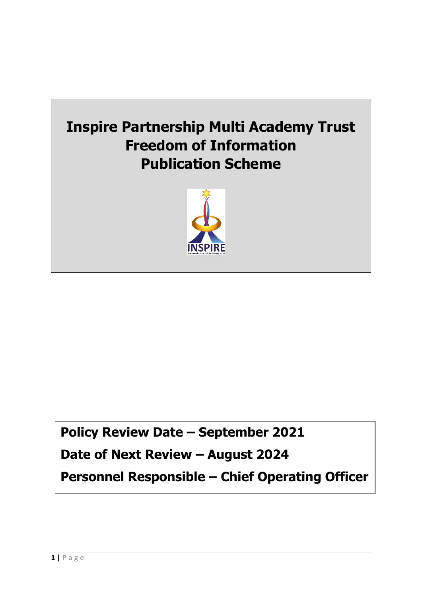



# **Policy Review Date – September 2021**

# **Date of Next Review – August 2024**

**Personnel Responsible – Chief Operating Officer**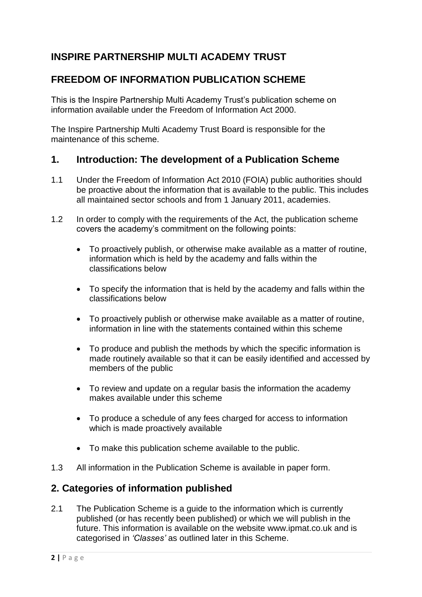## **INSPIRE PARTNERSHIP MULTI ACADEMY TRUST**

## **FREEDOM OF INFORMATION PUBLICATION SCHEME**

This is the Inspire Partnership Multi Academy Trust's publication scheme on information available under the Freedom of Information Act 2000.

The Inspire Partnership Multi Academy Trust Board is responsible for the maintenance of this scheme.

### **1. Introduction: The development of a Publication Scheme**

- 1.1 Under the Freedom of Information Act 2010 (FOIA) public authorities should be proactive about the information that is available to the public. This includes all maintained sector schools and from 1 January 2011, academies.
- 1.2 In order to comply with the requirements of the Act, the publication scheme covers the academy's commitment on the following points:
	- To proactively publish, or otherwise make available as a matter of routine, information which is held by the academy and falls within the classifications below
	- To specify the information that is held by the academy and falls within the classifications below
	- To proactively publish or otherwise make available as a matter of routine, information in line with the statements contained within this scheme
	- To produce and publish the methods by which the specific information is made routinely available so that it can be easily identified and accessed by members of the public
	- To review and update on a regular basis the information the academy makes available under this scheme
	- To produce a schedule of any fees charged for access to information which is made proactively available
	- To make this publication scheme available to the public.
- 1.3 All information in the Publication Scheme is available in paper form.

## **2. Categories of information published**

2.1 The Publication Scheme is a quide to the information which is currently published (or has recently been published) or which we will publish in the future. This information is available on the website www.ipmat.co.uk and is categorised in *'Classes'* as outlined later in this Scheme.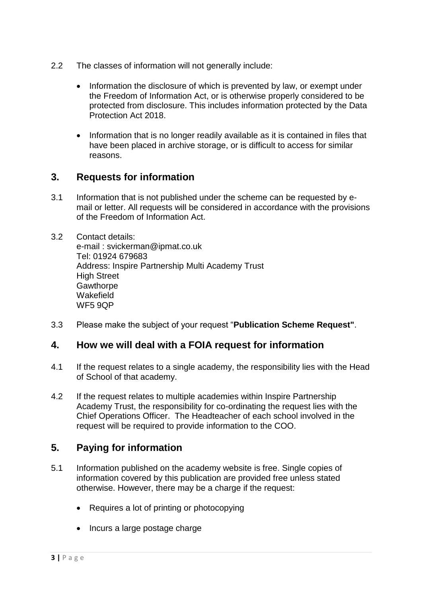- 2.2 The classes of information will not generally include:
	- Information the disclosure of which is prevented by law, or exempt under the Freedom of Information Act, or is otherwise properly considered to be protected from disclosure. This includes information protected by the Data Protection Act 2018.
	- Information that is no longer readily available as it is contained in files that have been placed in archive storage, or is difficult to access for similar reasons.

#### **3. Requests for information**

- 3.1 Information that is not published under the scheme can be requested by email or letter. All requests will be considered in accordance with the provisions of the Freedom of Information Act.
- 3.2 Contact details: e-mail : svickerman@ipmat.co.uk Tel: 01924 679683 Address: Inspire Partnership Multi Academy Trust **High Street Gawthorpe Wakefield** WF5 9QP
- 3.3 Please make the subject of your request "**Publication Scheme Request"**.

#### **4. How we will deal with a FOIA request for information**

- 4.1 If the request relates to a single academy, the responsibility lies with the Head of School of that academy.
- 4.2 If the request relates to multiple academies within Inspire Partnership Academy Trust, the responsibility for co-ordinating the request lies with the Chief Operations Officer. The Headteacher of each school involved in the request will be required to provide information to the COO.

## **5. Paying for information**

- 5.1 Information published on the academy website is free. Single copies of information covered by this publication are provided free unless stated otherwise. However, there may be a charge if the request:
	- Requires a lot of printing or photocopying
	- Incurs a large postage charge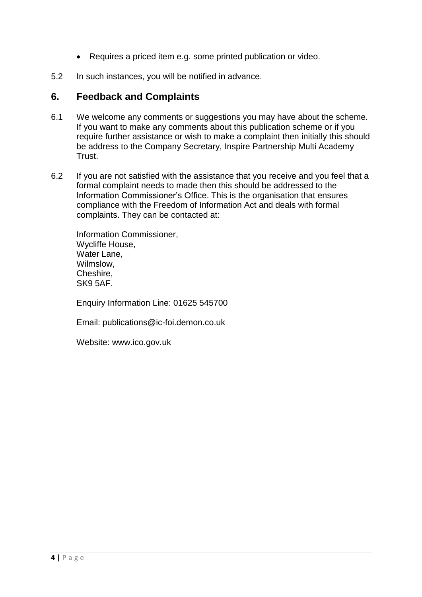- Requires a priced item e.g. some printed publication or video.
- 5.2 In such instances, you will be notified in advance.

#### **6. Feedback and Complaints**

- 6.1 We welcome any comments or suggestions you may have about the scheme. If you want to make any comments about this publication scheme or if you require further assistance or wish to make a complaint then initially this should be address to the Company Secretary, Inspire Partnership Multi Academy Trust.
- 6.2 If you are not satisfied with the assistance that you receive and you feel that a formal complaint needs to made then this should be addressed to the Information Commissioner's Office. This is the organisation that ensures compliance with the Freedom of Information Act and deals with formal complaints. They can be contacted at:

Information Commissioner, Wycliffe House, Water Lane. Wilmslow, Cheshire, SK9 5AF.

Enquiry Information Line: 01625 545700

Email: publications@ic-foi.demon.co.uk

Website: www.ico.gov.uk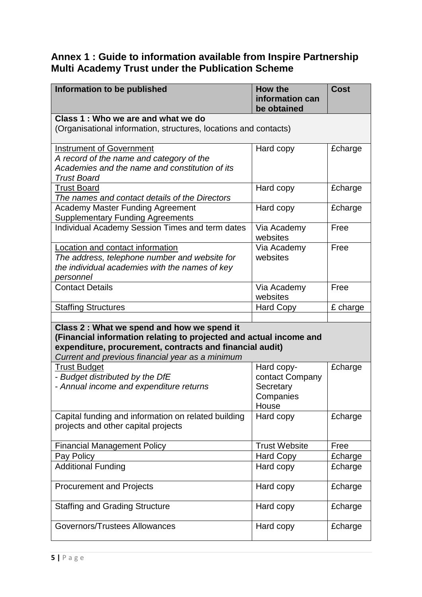## **Annex 1 : Guide to information available from Inspire Partnership Multi Academy Trust under the Publication Scheme**

| Information to be published                                                                                       | How the<br>information can<br>be obtained | <b>Cost</b> |  |
|-------------------------------------------------------------------------------------------------------------------|-------------------------------------------|-------------|--|
| Class 1: Who we are and what we do                                                                                |                                           |             |  |
| (Organisational information, structures, locations and contacts)                                                  |                                           |             |  |
| <b>Instrument of Government</b>                                                                                   | Hard copy                                 | £charge     |  |
| A record of the name and category of the                                                                          |                                           |             |  |
| Academies and the name and constitution of its<br><b>Trust Board</b>                                              |                                           |             |  |
| <b>Trust Board</b>                                                                                                | Hard copy                                 | £charge     |  |
| The names and contact details of the Directors                                                                    |                                           |             |  |
| <b>Academy Master Funding Agreement</b><br><b>Supplementary Funding Agreements</b>                                | Hard copy                                 | £charge     |  |
| Individual Academy Session Times and term dates                                                                   | Via Academy<br>websites                   | Free        |  |
| Location and contact information                                                                                  | Via Academy                               | Free        |  |
| The address, telephone number and website for                                                                     | websites                                  |             |  |
| the individual academies with the names of key                                                                    |                                           |             |  |
| personnel                                                                                                         |                                           |             |  |
| <b>Contact Details</b>                                                                                            | Via Academy                               | Free        |  |
|                                                                                                                   | websites                                  |             |  |
| <b>Staffing Structures</b>                                                                                        | <b>Hard Copy</b>                          | £ charge    |  |
|                                                                                                                   |                                           |             |  |
| Class 2 : What we spend and how we spend it<br>(Financial information relating to projected and actual income and |                                           |             |  |
| expenditure, procurement, contracts and financial audit)                                                          |                                           |             |  |
| Current and previous financial year as a minimum                                                                  |                                           |             |  |
| <b>Trust Budget</b>                                                                                               | Hard copy-                                | £charge     |  |
| - Budget distributed by the DfE                                                                                   | contact Company                           |             |  |
| - Annual income and expenditure returns                                                                           | Secretary                                 |             |  |
|                                                                                                                   | Companies                                 |             |  |
|                                                                                                                   | House                                     |             |  |
| Capital funding and information on related building                                                               | Hard copy                                 | £charge     |  |
| projects and other capital projects                                                                               |                                           |             |  |
|                                                                                                                   |                                           |             |  |
| <b>Financial Management Policy</b>                                                                                | <b>Trust Website</b>                      | Free        |  |
| Pay Policy                                                                                                        | <b>Hard Copy</b>                          | £charge     |  |
| <b>Additional Funding</b>                                                                                         | Hard copy                                 | £charge     |  |
| <b>Procurement and Projects</b>                                                                                   | Hard copy                                 | £charge     |  |
| <b>Staffing and Grading Structure</b>                                                                             | Hard copy                                 | £charge     |  |
| Governors/Trustees Allowances                                                                                     | Hard copy                                 | £charge     |  |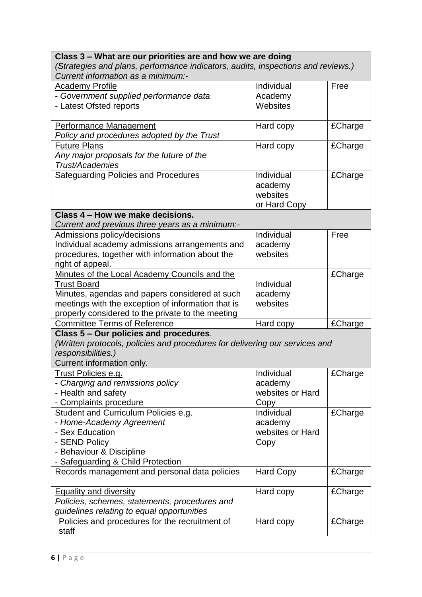| Class 3 – What are our priorities are and how we are doing                       |                  |         |  |
|----------------------------------------------------------------------------------|------------------|---------|--|
| (Strategies and plans, performance indicators, audits, inspections and reviews.) |                  |         |  |
| Current information as a minimum:-                                               |                  |         |  |
| <b>Academy Profile</b>                                                           | Individual       | Free    |  |
| - Government supplied performance data                                           | Academy          |         |  |
| - Latest Ofsted reports                                                          | Websites         |         |  |
|                                                                                  |                  |         |  |
| <b>Performance Management</b>                                                    | Hard copy        | £Charge |  |
| Policy and procedures adopted by the Trust                                       |                  |         |  |
| <b>Future Plans</b>                                                              | Hard copy        | £Charge |  |
| Any major proposals for the future of the                                        |                  |         |  |
| Trust/Academies                                                                  |                  |         |  |
| Safeguarding Policies and Procedures                                             | Individual       | £Charge |  |
|                                                                                  | academy          |         |  |
|                                                                                  | websites         |         |  |
|                                                                                  | or Hard Copy     |         |  |
| Class 4 – How we make decisions.                                                 |                  |         |  |
| Current and previous three years as a minimum:-                                  |                  |         |  |
| <b>Admissions policy/decisions</b>                                               | Individual       | Free    |  |
| Individual academy admissions arrangements and                                   | academy          |         |  |
| procedures, together with information about the                                  | websites         |         |  |
| right of appeal.                                                                 |                  |         |  |
| Minutes of the Local Academy Councils and the                                    |                  | £Charge |  |
| <b>Trust Board</b>                                                               | Individual       |         |  |
| Minutes, agendas and papers considered at such                                   | academy          |         |  |
| meetings with the exception of information that is                               | websites         |         |  |
| properly considered to the private to the meeting                                |                  |         |  |
| <b>Committee Terms of Reference</b>                                              | Hard copy        | £Charge |  |
| Class 5 - Our policies and procedures.                                           |                  |         |  |
| (Written protocols, policies and procedures for delivering our services and      |                  |         |  |
| responsibilities.)                                                               |                  |         |  |
| Current information only.                                                        |                  |         |  |
| Trust Policies e.g.                                                              | Individual       | £Charge |  |
| - Charging and remissions policy                                                 | academy          |         |  |
| - Health and safety                                                              | websites or Hard |         |  |
| - Complaints procedure                                                           | Copy             |         |  |
| Student and Curriculum Policies e.g.                                             | Individual       | £Charge |  |
| - Home-Academy Agreement                                                         | academy          |         |  |
| - Sex Education                                                                  | websites or Hard |         |  |
| - SEND Policy                                                                    | Copy             |         |  |
| - Behaviour & Discipline                                                         |                  |         |  |
| - Safeguarding & Child Protection                                                |                  |         |  |
| Records management and personal data policies                                    | <b>Hard Copy</b> | £Charge |  |
|                                                                                  |                  |         |  |
| <b>Equality and diversity</b>                                                    | Hard copy        | £Charge |  |
| Policies, schemes, statements, procedures and                                    |                  |         |  |
| guidelines relating to equal opportunities                                       |                  |         |  |
| Policies and procedures for the recruitment of                                   | Hard copy        | £Charge |  |
| staff                                                                            |                  |         |  |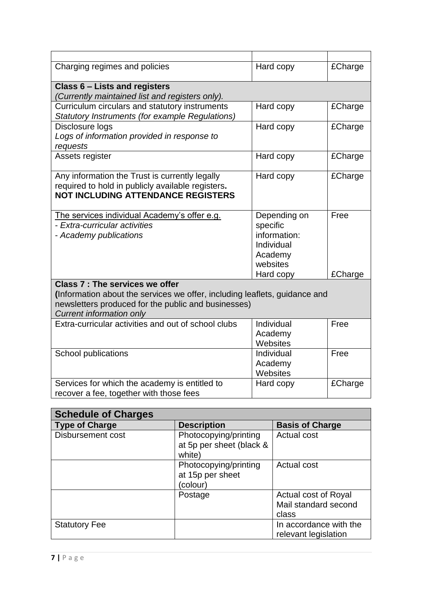| Charging regimes and policies                                              | Hard copy    | £Charge |
|----------------------------------------------------------------------------|--------------|---------|
| Class 6 - Lists and registers                                              |              |         |
| (Currently maintained list and registers only).                            |              |         |
| Curriculum circulars and statutory instruments                             | Hard copy    | £Charge |
| Statutory Instruments (for example Regulations)                            |              |         |
| Disclosure logs                                                            | Hard copy    | £Charge |
| Logs of information provided in response to                                |              |         |
| requests                                                                   |              |         |
| Assets register                                                            | Hard copy    | £Charge |
|                                                                            |              |         |
| Any information the Trust is currently legally                             | Hard copy    | £Charge |
| required to hold in publicly available registers.                          |              |         |
| <b>NOT INCLUDING ATTENDANCE REGISTERS</b>                                  |              |         |
|                                                                            |              |         |
| The services individual Academy's offer e.g.                               | Depending on | Free    |
| - Extra-curricular activities                                              | specific     |         |
| - Academy publications                                                     | information: |         |
|                                                                            | Individual   |         |
|                                                                            | Academy      |         |
|                                                                            | websites     |         |
|                                                                            | Hard copy    | £Charge |
| Class 7 : The services we offer                                            |              |         |
| (Information about the services we offer, including leaflets, guidance and |              |         |
| newsletters produced for the public and businesses)                        |              |         |
| <b>Current information only</b>                                            |              |         |
| Extra-curricular activities and out of school clubs                        | Individual   | Free    |
|                                                                            | Academy      |         |
|                                                                            | Websites     |         |
| School publications                                                        | Individual   | Free    |
|                                                                            | Academy      |         |
|                                                                            | Websites     |         |
| Services for which the academy is entitled to                              | Hard copy    | £Charge |
| recover a fee, together with those fees                                    |              |         |

| <b>Schedule of Charges</b> |                                                             |                                                       |  |  |
|----------------------------|-------------------------------------------------------------|-------------------------------------------------------|--|--|
| <b>Type of Charge</b>      | <b>Description</b>                                          | <b>Basis of Charge</b>                                |  |  |
| Disbursement cost          | Photocopying/printing<br>at 5p per sheet (black &<br>white) | <b>Actual cost</b>                                    |  |  |
|                            | Photocopying/printing<br>at 15p per sheet<br>colour)        | Actual cost                                           |  |  |
|                            | Postage                                                     | Actual cost of Royal<br>Mail standard second<br>class |  |  |
| <b>Statutory Fee</b>       |                                                             | In accordance with the<br>relevant legislation        |  |  |